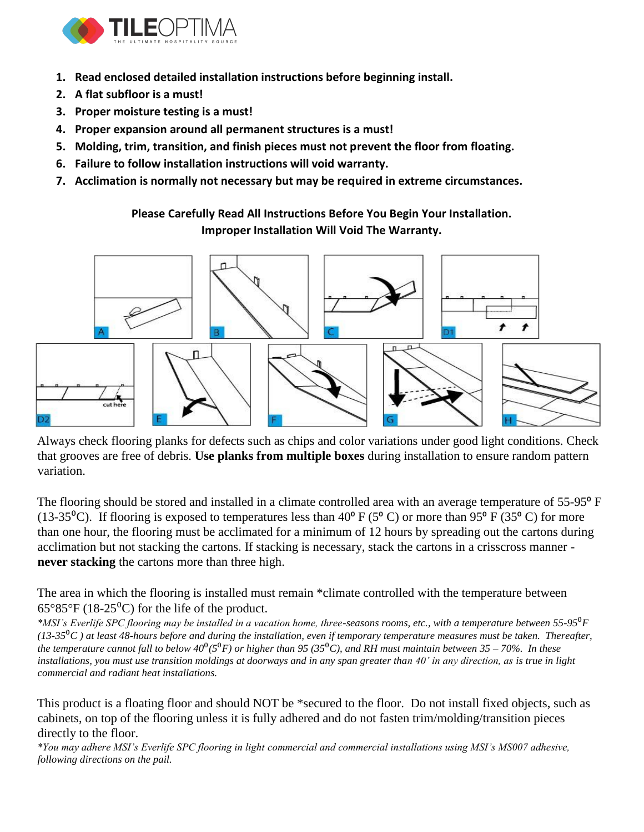

- **1. Read enclosed detailed installation instructions before beginning install.**
- **2. A flat subfloor is a must!**
- **3. Proper moisture testing is a must!**
- **4. Proper expansion around all permanent structures is a must!**
- **5. Molding, trim, transition, and finish pieces must not prevent the floor from floating.**
- **6. Failure to follow installation instructions will void warranty.**
- **7. Acclimation is normally not necessary but may be required in extreme circumstances.**

**Please Carefully Read All Instructions Before You Begin Your Installation. Improper Installation Will Void The Warranty.**



Always check flooring planks for defects such as chips and color variations under good light conditions. Check that grooves are free of debris. **Use planks from multiple boxes** during installation to ensure random pattern variation.

The flooring should be stored and installed in a climate controlled area with an average temperature of 55-95<sup>°</sup> F (13-35<sup>o</sup>C). If flooring is exposed to temperatures less than 40<sup>o</sup> F (5<sup>o</sup>C) or more than 95<sup>o</sup> F (35<sup>o</sup>C) for more than one hour, the flooring must be acclimated for a minimum of 12 hours by spreading out the cartons during acclimation but not stacking the cartons. If stacking is necessary, stack the cartons in a crisscross manner **never stacking** the cartons more than three high.

The area in which the flooring is installed must remain \*climate controlled with the temperature between  $65^{\circ}85^{\circ}F(18-25^{\circ}C)$  for the life of the product.

*\*MSI's Everlife SPC flooring may be installed in a vacation home, three-seasons rooms, etc., with a temperature between 55-95<sup>0</sup>F (13-35*⁰*C ) at least 48-hours before and during the installation, even if temporary temperature measures must be taken. Thereafter, the temperature cannot fall to below 40*⁰*(5*⁰*F) or higher than 95 (35*⁰*C), and RH must maintain between 35 – 70%. In these installations, you must use transition moldings at doorways and in any span greater than 40' in any direction, as is true in light commercial and radiant heat installations.*

This product is a floating floor and should NOT be \*secured to the floor. Do not install fixed objects, such as cabinets, on top of the flooring unless it is fully adhered and do not fasten trim/molding/transition pieces directly to the floor.

*\*You may adhere MSI's Everlife SPC flooring in light commercial and commercial installations using MSI's MS007 adhesive, following directions on the pail.*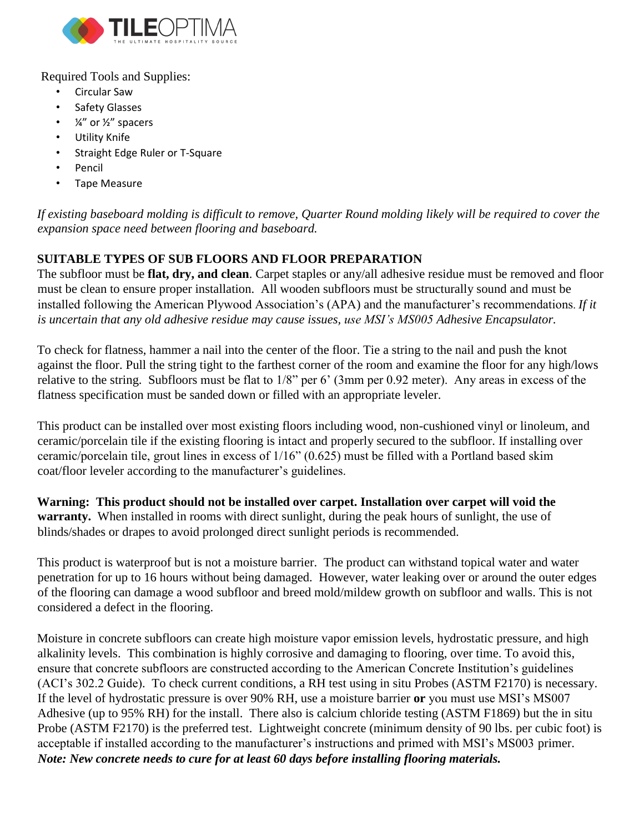

Required Tools and Supplies:

- Circular Saw
- Safety Glasses
- $\frac{1}{4}$ " or  $\frac{1}{2}$ " spacers
- Utility Knife
- Straight Edge Ruler or T-Square
- Pencil
- Tape Measure

*If existing baseboard molding is difficult to remove, Quarter Round molding likely will be required to cover the expansion space need between flooring and baseboard.* 

# **SUITABLE TYPES OF SUB FLOORS AND FLOOR PREPARATION**

The subfloor must be **flat, dry, and clean**. Carpet staples or any/all adhesive residue must be removed and floor must be clean to ensure proper installation. All wooden subfloors must be structurally sound and must be installed following the American Plywood Association's (APA) and the manufacturer's recommendations. *If it is uncertain that any old adhesive residue may cause issues, use MSI's MS005 Adhesive Encapsulator.*

To check for flatness, hammer a nail into the center of the floor. Tie a string to the nail and push the knot against the floor. Pull the string tight to the farthest corner of the room and examine the floor for any high/lows relative to the string. Subfloors must be flat to 1/8" per 6' (3mm per 0.92 meter). Any areas in excess of the flatness specification must be sanded down or filled with an appropriate leveler.

This product can be installed over most existing floors including wood, non-cushioned vinyl or linoleum, and ceramic/porcelain tile if the existing flooring is intact and properly secured to the subfloor. If installing over ceramic/porcelain tile, grout lines in excess of 1/16" (0.625) must be filled with a Portland based skim coat/floor leveler according to the manufacturer's guidelines.

**Warning: This product should not be installed over carpet. Installation over carpet will void the warranty.** When installed in rooms with direct sunlight, during the peak hours of sunlight, the use of blinds/shades or drapes to avoid prolonged direct sunlight periods is recommended.

This product is waterproof but is not a moisture barrier. The product can withstand topical water and water penetration for up to 16 hours without being damaged. However, water leaking over or around the outer edges of the flooring can damage a wood subfloor and breed mold/mildew growth on subfloor and walls. This is not considered a defect in the flooring.

Moisture in concrete subfloors can create high moisture vapor emission levels, hydrostatic pressure, and high alkalinity levels. This combination is highly corrosive and damaging to flooring, over time. To avoid this, ensure that concrete subfloors are constructed according to the American Concrete Institution's guidelines (ACI's 302.2 Guide). To check current conditions, a RH test using in situ Probes (ASTM F2170) is necessary. If the level of hydrostatic pressure is over 90% RH, use a moisture barrier **or** you must use MSI's MS007 Adhesive (up to 95% RH) for the install. There also is calcium chloride testing (ASTM F1869) but the in situ Probe (ASTM F2170) is the preferred test. Lightweight concrete (minimum density of 90 lbs. per cubic foot) is acceptable if installed according to the manufacturer's instructions and primed with MSI's MS003 primer. *Note: New concrete needs to cure for at least 60 days before installing flooring materials.*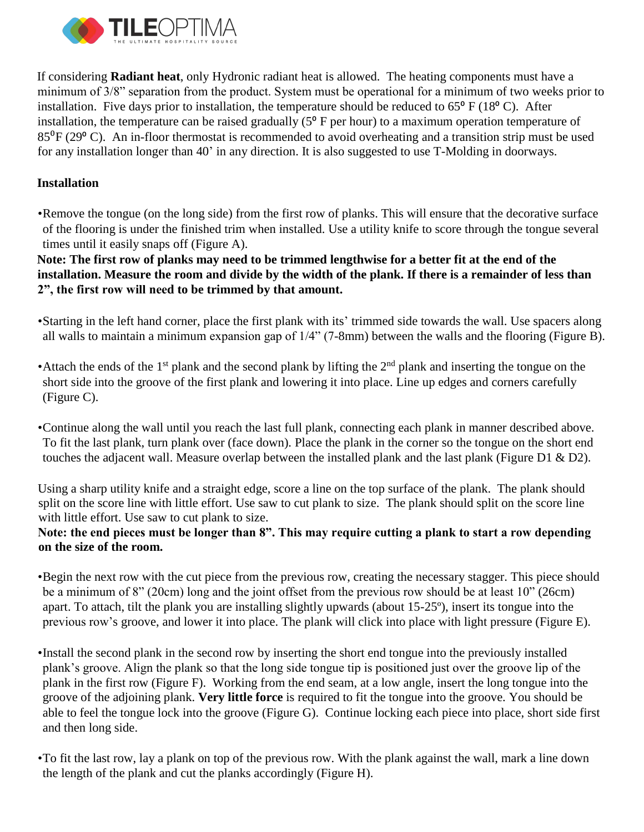

If considering **Radiant heat**, only Hydronic radiant heat is allowed. The heating components must have a minimum of 3/8" separation from the product. System must be operational for a minimum of two weeks prior to installation. Five days prior to installation, the temperature should be reduced to  $65^{\circ}$  F (18 $^{\circ}$  C). After installation, the temperature can be raised gradually  $(5^{\circ}$  F per hour) to a maximum operation temperature of 85⁰F (29⁰ C). An in-floor thermostat is recommended to avoid overheating and a transition strip must be used for any installation longer than 40' in any direction. It is also suggested to use T-Molding in doorways.

#### **Installation**

•Remove the tongue (on the long side) from the first row of planks. This will ensure that the decorative surface of the flooring is under the finished trim when installed. Use a utility knife to score through the tongue several times until it easily snaps off (Figure A).

**Note: The first row of planks may need to be trimmed lengthwise for a better fit at the end of the installation. Measure the room and divide by the width of the plank. If there is a remainder of less than 2", the first row will need to be trimmed by that amount.**

- •Starting in the left hand corner, place the first plank with its' trimmed side towards the wall. Use spacers along all walls to maintain a minimum expansion gap of 1/4" (7-8mm) between the walls and the flooring (Figure B).
- •Attach the ends of the 1<sup>st</sup> plank and the second plank by lifting the  $2<sup>nd</sup>$  plank and inserting the tongue on the short side into the groove of the first plank and lowering it into place. Line up edges and corners carefully (Figure C).
- •Continue along the wall until you reach the last full plank, connecting each plank in manner described above. To fit the last plank, turn plank over (face down). Place the plank in the corner so the tongue on the short end touches the adjacent wall. Measure overlap between the installed plank and the last plank (Figure D1  $\&$  D2).

Using a sharp utility knife and a straight edge, score a line on the top surface of the plank. The plank should split on the score line with little effort. Use saw to cut plank to size. The plank should split on the score line with little effort. Use saw to cut plank to size.

### **Note: the end pieces must be longer than 8". This may require cutting a plank to start a row depending on the size of the room.**

•Begin the next row with the cut piece from the previous row, creating the necessary stagger. This piece should be a minimum of 8" (20cm) long and the joint offset from the previous row should be at least 10" (26cm) apart. To attach, tilt the plank you are installing slightly upwards (about 15-25º), insert its tongue into the previous row's groove, and lower it into place. The plank will click into place with light pressure (Figure E).

•Install the second plank in the second row by inserting the short end tongue into the previously installed plank's groove. Align the plank so that the long side tongue tip is positioned just over the groove lip of the plank in the first row (Figure F). Working from the end seam, at a low angle, insert the long tongue into the groove of the adjoining plank. **Very little force** is required to fit the tongue into the groove. You should be able to feel the tongue lock into the groove (Figure G). Continue locking each piece into place, short side first and then long side.

•To fit the last row, lay a plank on top of the previous row. With the plank against the wall, mark a line down the length of the plank and cut the planks accordingly (Figure H).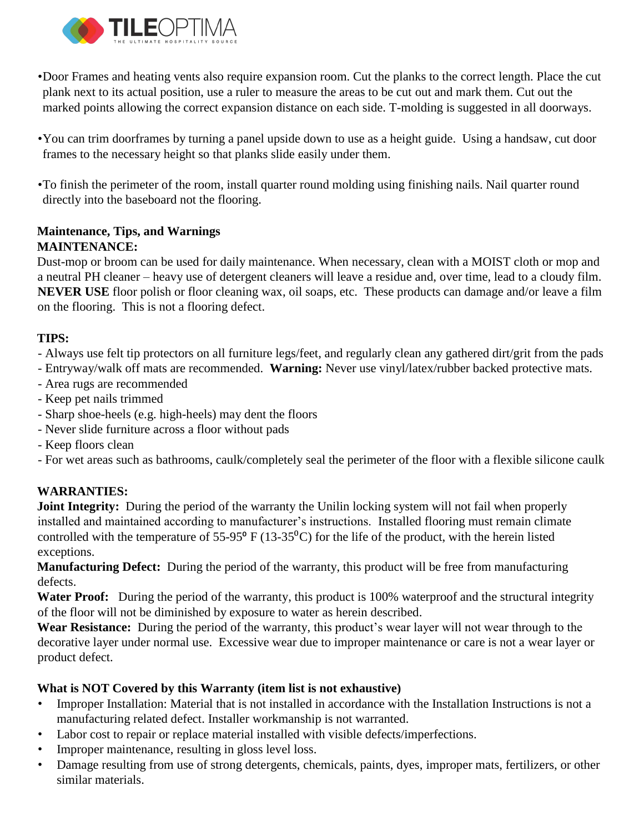

•Door Frames and heating vents also require expansion room. Cut the planks to the correct length. Place the cut plank next to its actual position, use a ruler to measure the areas to be cut out and mark them. Cut out the marked points allowing the correct expansion distance on each side. T-molding is suggested in all doorways.

- •You can trim doorframes by turning a panel upside down to use as a height guide. Using a handsaw, cut door frames to the necessary height so that planks slide easily under them.
- •To finish the perimeter of the room, install quarter round molding using finishing nails. Nail quarter round directly into the baseboard not the flooring.

### **Maintenance, Tips, and Warnings MAINTENANCE:**

Dust-mop or broom can be used for daily maintenance. When necessary, clean with a MOIST cloth or mop and a neutral PH cleaner – heavy use of detergent cleaners will leave a residue and, over time, lead to a cloudy film. **NEVER USE** floor polish or floor cleaning wax, oil soaps, etc. These products can damage and/or leave a film on the flooring. This is not a flooring defect.

# **TIPS:**

- Always use felt tip protectors on all furniture legs/feet, and regularly clean any gathered dirt/grit from the pads
- Entryway/walk off mats are recommended. **Warning:** Never use vinyl/latex/rubber backed protective mats.
- Area rugs are recommended
- Keep pet nails trimmed
- Sharp shoe-heels (e.g. high-heels) may dent the floors
- Never slide furniture across a floor without pads
- Keep floors clean
- For wet areas such as bathrooms, caulk/completely seal the perimeter of the floor with a flexible silicone caulk

## **WARRANTIES:**

Joint Integrity: During the period of the warranty the Unilin locking system will not fail when properly installed and maintained according to manufacturer's instructions. Installed flooring must remain climate controlled with the temperature of  $55-95^{\circ}$  F (13-35<sup>o</sup>C) for the life of the product, with the herein listed exceptions.

**Manufacturing Defect:** During the period of the warranty, this product will be free from manufacturing defects.

Water Proof: During the period of the warranty, this product is 100% waterproof and the structural integrity of the floor will not be diminished by exposure to water as herein described.

**Wear Resistance:** During the period of the warranty, this product's wear layer will not wear through to the decorative layer under normal use. Excessive wear due to improper maintenance or care is not a wear layer or product defect.

## **What is NOT Covered by this Warranty (item list is not exhaustive)**

- Improper Installation: Material that is not installed in accordance with the Installation Instructions is not a manufacturing related defect. Installer workmanship is not warranted.
- Labor cost to repair or replace material installed with visible defects/imperfections.
- Improper maintenance, resulting in gloss level loss.
- Damage resulting from use of strong detergents, chemicals, paints, dyes, improper mats, fertilizers, or other similar materials.